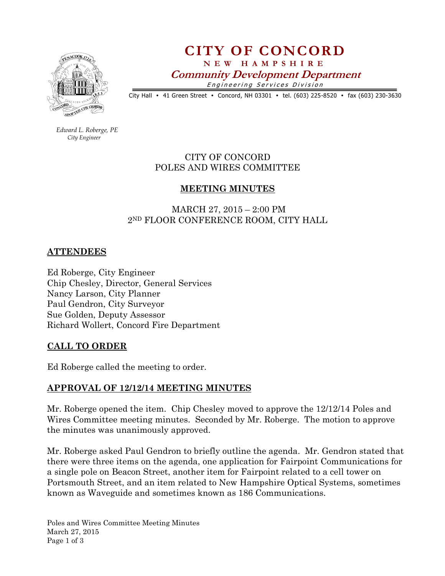

# CITY OF CONCORD N E W H A M P S H I R E Community Development Department Engineering Services Division

City Hall • 41 Green Street • Concord, NH 03301 • tel. (603) 225-8520 • fax (603) 230-3630

 Edward L. Roberge, PE City Engineer

> CITY OF CONCORD POLES AND WIRES COMMITTEE

## MEETING MINUTES

 MARCH 27, 2015 – 2:00 PM 2ND FLOOR CONFERENCE ROOM, CITY HALL

### ATTENDEES

Ed Roberge, City Engineer Chip Chesley, Director, General Services Nancy Larson, City Planner Paul Gendron, City Surveyor Sue Golden, Deputy Assessor Richard Wollert, Concord Fire Department

#### CALL TO ORDER

Ed Roberge called the meeting to order.

#### APPROVAL OF 12/12/14 MEETING MINUTES

Mr. Roberge opened the item. Chip Chesley moved to approve the 12/12/14 Poles and Wires Committee meeting minutes. Seconded by Mr. Roberge. The motion to approve the minutes was unanimously approved.

Mr. Roberge asked Paul Gendron to briefly outline the agenda. Mr. Gendron stated that there were three items on the agenda, one application for Fairpoint Communications for a single pole on Beacon Street, another item for Fairpoint related to a cell tower on Portsmouth Street, and an item related to New Hampshire Optical Systems, sometimes known as Waveguide and sometimes known as 186 Communications.

Poles and Wires Committee Meeting Minutes March 27, 2015 Page 1 of 3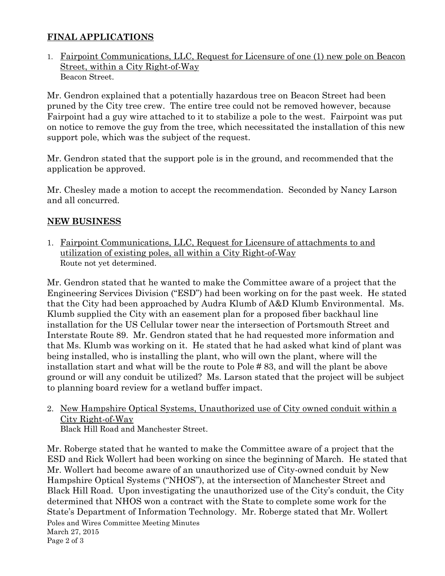# FINAL APPLICATIONS

1. Fairpoint Communications, LLC, Request for Licensure of one (1) new pole on Beacon Street, within a City Right-of-Way Beacon Street.

Mr. Gendron explained that a potentially hazardous tree on Beacon Street had been pruned by the City tree crew. The entire tree could not be removed however, because Fairpoint had a guy wire attached to it to stabilize a pole to the west. Fairpoint was put on notice to remove the guy from the tree, which necessitated the installation of this new support pole, which was the subject of the request.

Mr. Gendron stated that the support pole is in the ground, and recommended that the application be approved.

Mr. Chesley made a motion to accept the recommendation. Seconded by Nancy Larson and all concurred.

## NEW BUSINESS

1. Fairpoint Communications, LLC, Request for Licensure of attachments to and utilization of existing poles, all within a City Right-of-Way Route not yet determined.

Mr. Gendron stated that he wanted to make the Committee aware of a project that the Engineering Services Division ("ESD") had been working on for the past week. He stated that the City had been approached by Audra Klumb of A&D Klumb Environmental. Ms. Klumb supplied the City with an easement plan for a proposed fiber backhaul line installation for the US Cellular tower near the intersection of Portsmouth Street and Interstate Route 89. Mr. Gendron stated that he had requested more information and that Ms. Klumb was working on it. He stated that he had asked what kind of plant was being installed, who is installing the plant, who will own the plant, where will the installation start and what will be the route to Pole # 83, and will the plant be above ground or will any conduit be utilized? Ms. Larson stated that the project will be subject to planning board review for a wetland buffer impact.

2. New Hampshire Optical Systems, Unauthorized use of City owned conduit within a City Right-of-Way Black Hill Road and Manchester Street.

Poles and Wires Committee Meeting Minutes March 27, 2015 Page 2 of 3 Mr. Roberge stated that he wanted to make the Committee aware of a project that the ESD and Rick Wollert had been working on since the beginning of March. He stated that Mr. Wollert had become aware of an unauthorized use of City-owned conduit by New Hampshire Optical Systems ("NHOS"), at the intersection of Manchester Street and Black Hill Road. Upon investigating the unauthorized use of the City's conduit, the City determined that NHOS won a contract with the State to complete some work for the State's Department of Information Technology. Mr. Roberge stated that Mr. Wollert